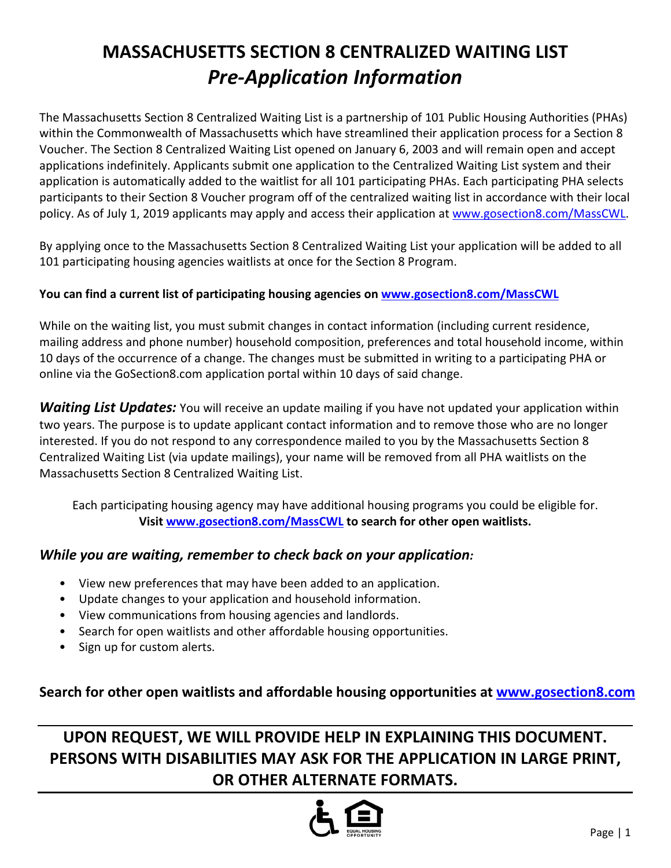# **MASSACHUSETTS SECTION 8 CENTRALIZED WAITING LIST**  *Pre-Application Information*

The Massachusetts Section 8 Centralized Waiting List is a partnership of 101 Public Housing Authorities (PHAs) within the Commonwealth of Massachusetts which have streamlined their application process for a Section 8 Voucher. The Section 8 Centralized Waiting List opened on January 6, 2003 and will remain open and accept applications indefinitely. Applicants submit one application to the Centralized Waiting List system and their application is automatically added to the waitlist for all 101 participating PHAs. Each participating PHA selects participants to their Section 8 Voucher program off of the centralized waiting list in accordance with their local policy. As of July 1, 2019 applicants may apply and access their application a[t www.gosection8.com/MassCWL.](http://www.gosection8.com/MassCWL)

By applying once to the Massachusetts Section 8 Centralized Waiting List your application will be added to all 101 participating housing agencies waitlists at once for the Section 8 Program.

## **You can find a current list of participating housing agencies on [www.gosection8.com/MassCWL](http://www.gosection8.com/MassCWL)**

While on the waiting list, you must submit changes in contact information (including current residence, mailing address and phone number) household composition, preferences and total household income, within 10 days of the occurrence of a change. The changes must be submitted in writing to a participating PHA or online via the GoSection8.com application portal within 10 days of said change.

*Waiting List Updates:* You will receive an update mailing if you have not updated your application within two years. The purpose is to update applicant contact information and to remove those who are no longer interested. If you do not respond to any correspondence mailed to you by the Massachusetts Section 8 Centralized Waiting List (via update mailings), your name will be removed from all PHA waitlists on the Massachusetts Section 8 Centralized Waiting List.

Each participating housing agency may have additional housing programs you could be eligible for. **Visi[t www.gosection8.com/MassCWL](http://www.gosection8.com/MassCWL) to search for other open waitlists.**

## *While you are waiting, remember to check back on your application:*

- View new preferences that may have been added to an application.
- Update changes to your application and household information.
- View communications from housing agencies and landlords.
- Search for open waitlists and other affordable housing opportunities.
- Sign up for custom alerts.

## **Search for other open waitlists and affordable housing opportunities at [www.gosection8.com](http://www.gosection8.com/)**

## **UPON REQUEST, WE WILL PROVIDE HELP IN EXPLAINING THIS DOCUMENT. PERSONS WITH DISABILITIES MAY ASK FOR THE APPLICATION IN LARGE PRINT, OR OTHER ALTERNATE FORMATS.**

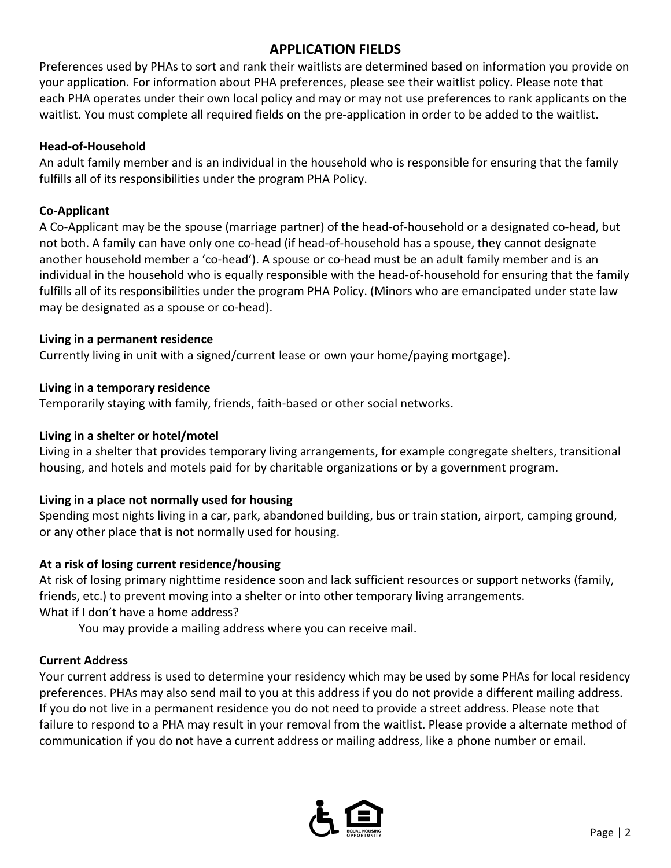## **APPLICATION FIELDS**

Preferences used by PHAs to sort and rank their waitlists are determined based on information you provide on your application. For information about PHA preferences, please see their waitlist policy. Please note that each PHA operates under their own local policy and may or may not use preferences to rank applicants on the waitlist. You must complete all required fields on the pre-application in order to be added to the waitlist.

## **Head-of-Household**

An adult family member and is an individual in the household who is responsible for ensuring that the family fulfills all of its responsibilities under the program PHA Policy.

## **Co-Applicant**

A Co-Applicant may be the spouse (marriage partner) of the head-of-household or a designated co-head, but not both. A family can have only one co-head (if head-of-household has a spouse, they cannot designate another household member a 'co-head'). A spouse or co-head must be an adult family member and is an individual in the household who is equally responsible with the head-of-household for ensuring that the family fulfills all of its responsibilities under the program PHA Policy. (Minors who are emancipated under state law may be designated as a spouse or co-head).

## **Living in a permanent residence**

Currently living in unit with a signed/current lease or own your home/paying mortgage).

## **Living in a temporary residence**

Temporarily staying with family, friends, faith-based or other social networks.

## **Living in a shelter or hotel/motel**

Living in a shelter that provides temporary living arrangements, for example congregate shelters, transitional housing, and hotels and motels paid for by charitable organizations or by a government program.

## **Living in a place not normally used for housing**

Spending most nights living in a car, park, abandoned building, bus or train station, airport, camping ground, or any other place that is not normally used for housing.

## **At a risk of losing current residence/housing**

At risk of losing primary nighttime residence soon and lack sufficient resources or support networks (family, friends, etc.) to prevent moving into a shelter or into other temporary living arrangements. What if I don't have a home address?

You may provide a mailing address where you can receive mail.

#### **Current Address**

Your current address is used to determine your residency which may be used by some PHAs for local residency preferences. PHAs may also send mail to you at this address if you do not provide a different mailing address. If you do not live in a permanent residence you do not need to provide a street address. Please note that failure to respond to a PHA may result in your removal from the waitlist. Please provide a alternate method of communication if you do not have a current address or mailing address, like a phone number or email.

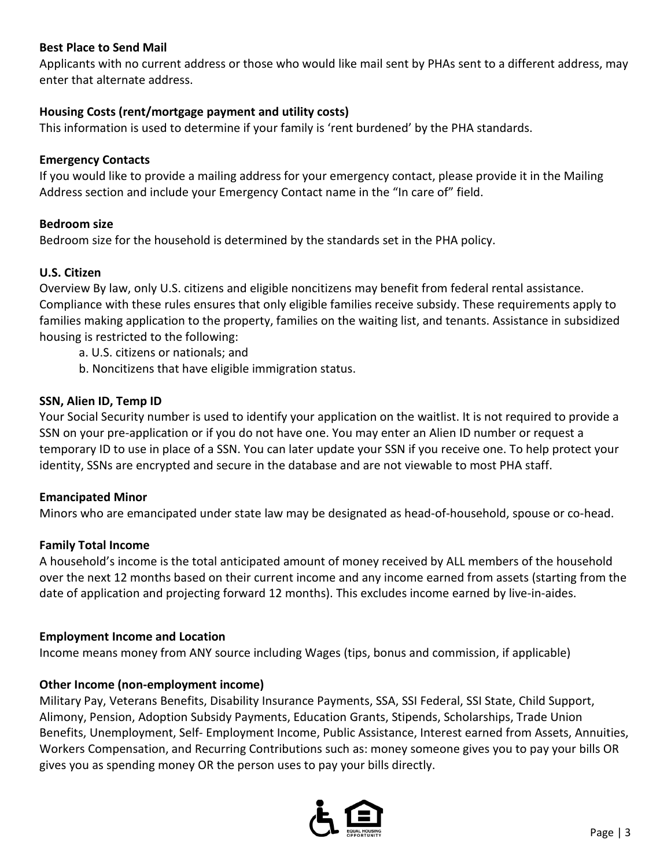#### **Best Place to Send Mail**

Applicants with no current address or those who would like mail sent by PHAs sent to a different address, may enter that alternate address.

#### **Housing Costs (rent/mortgage payment and utility costs)**

This information is used to determine if your family is 'rent burdened' by the PHA standards.

#### **Emergency Contacts**

If you would like to provide a mailing address for your emergency contact, please provide it in the Mailing Address section and include your Emergency Contact name in the "In care of" field.

#### **Bedroom size**

Bedroom size for the household is determined by the standards set in the PHA policy.

#### **U.S. Citizen**

Overview By law, only U.S. citizens and eligible noncitizens may benefit from federal rental assistance. Compliance with these rules ensures that only eligible families receive subsidy. These requirements apply to families making application to the property, families on the waiting list, and tenants. Assistance in subsidized housing is restricted to the following:

- a. U.S. citizens or nationals; and
- b. Noncitizens that have eligible immigration status.

#### **SSN, Alien ID, Temp ID**

Your Social Security number is used to identify your application on the waitlist. It is not required to provide a SSN on your pre-application or if you do not have one. You may enter an Alien ID number or request a temporary ID to use in place of a SSN. You can later update your SSN if you receive one. To help protect your identity, SSNs are encrypted and secure in the database and are not viewable to most PHA staff.

#### **Emancipated Minor**

Minors who are emancipated under state law may be designated as head-of-household, spouse or co-head.

#### **Family Total Income**

A household's income is the total anticipated amount of money received by ALL members of the household over the next 12 months based on their current income and any income earned from assets (starting from the date of application and projecting forward 12 months). This excludes income earned by live-in-aides.

#### **Employment Income and Location**

Income means money from ANY source including Wages (tips, bonus and commission, if applicable)

#### **Other Income (non-employment income)**

Military Pay, Veterans Benefits, Disability Insurance Payments, SSA, SSI Federal, SSI State, Child Support, Alimony, Pension, Adoption Subsidy Payments, Education Grants, Stipends, Scholarships, Trade Union Benefits, Unemployment, Self- Employment Income, Public Assistance, Interest earned from Assets, Annuities, Workers Compensation, and Recurring Contributions such as: money someone gives you to pay your bills OR gives you as spending money OR the person uses to pay your bills directly.

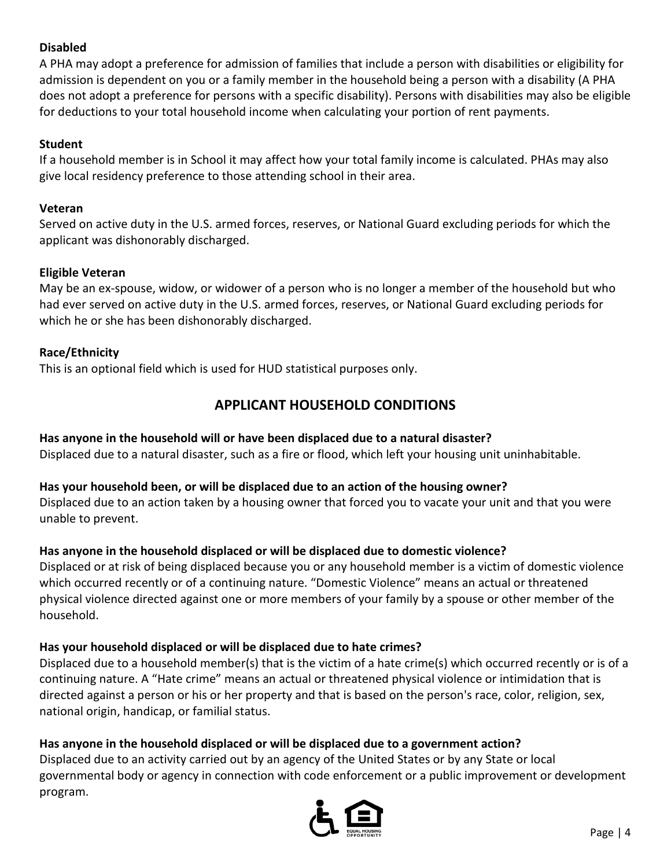## **Disabled**

A PHA may adopt a preference for admission of families that include a person with disabilities or eligibility for admission is dependent on you or a family member in the household being a person with a disability (A PHA does not adopt a preference for persons with a specific disability). Persons with disabilities may also be eligible for deductions to your total household income when calculating your portion of rent payments.

#### **Student**

If a household member is in School it may affect how your total family income is calculated. PHAs may also give local residency preference to those attending school in their area.

#### **Veteran**

Served on active duty in the U.S. armed forces, reserves, or National Guard excluding periods for which the applicant was dishonorably discharged.

#### **Eligible Veteran**

May be an ex-spouse, widow, or widower of a person who is no longer a member of the household but who had ever served on active duty in the U.S. armed forces, reserves, or National Guard excluding periods for which he or she has been dishonorably discharged.

#### **Race/Ethnicity**

This is an optional field which is used for HUD statistical purposes only.

## **APPLICANT HOUSEHOLD CONDITIONS**

#### **Has anyone in the household will or have been displaced due to a natural disaster?**

Displaced due to a natural disaster, such as a fire or flood, which left your housing unit uninhabitable.

#### **Has your household been, or will be displaced due to an action of the housing owner?**

Displaced due to an action taken by a housing owner that forced you to vacate your unit and that you were unable to prevent.

#### **Has anyone in the household displaced or will be displaced due to domestic violence?**

Displaced or at risk of being displaced because you or any household member is a victim of domestic violence which occurred recently or of a continuing nature. "Domestic Violence" means an actual or threatened physical violence directed against one or more members of your family by a spouse or other member of the household.

#### **Has your household displaced or will be displaced due to hate crimes?**

Displaced due to a household member(s) that is the victim of a hate crime(s) which occurred recently or is of a continuing nature. A "Hate crime" means an actual or threatened physical violence or intimidation that is directed against a person or his or her property and that is based on the person's race, color, religion, sex, national origin, handicap, or familial status.

#### **Has anyone in the household displaced or will be displaced due to a government action?**

Displaced due to an activity carried out by an agency of the United States or by any State or local governmental body or agency in connection with code enforcement or a public improvement or development program.